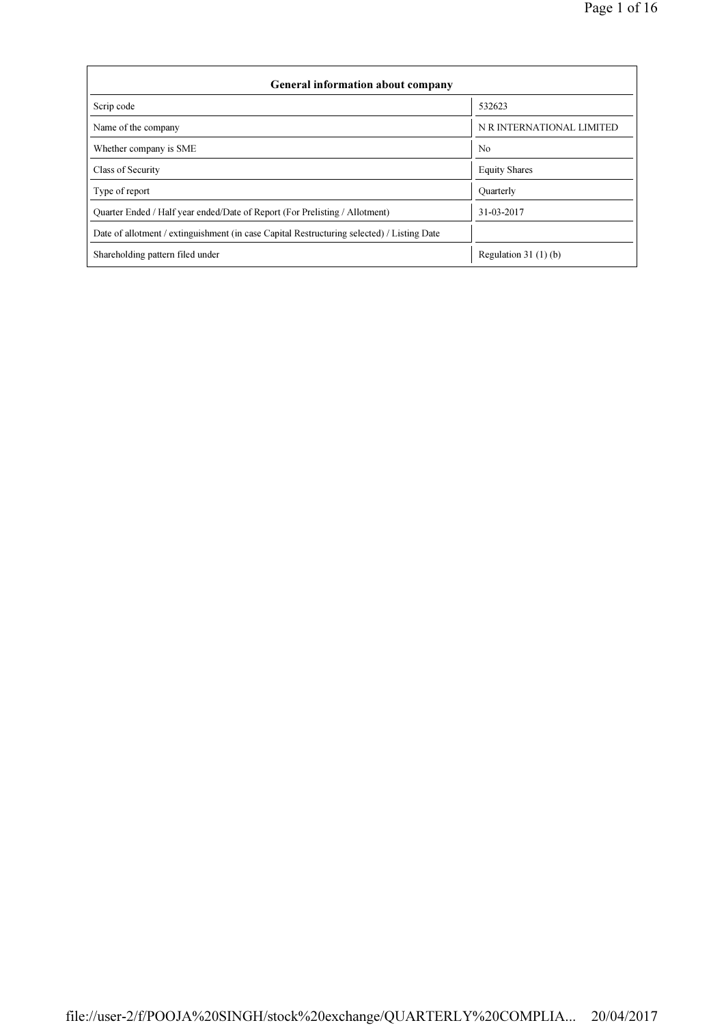| <b>General information about company</b>                                                   |                           |  |  |  |  |  |  |
|--------------------------------------------------------------------------------------------|---------------------------|--|--|--|--|--|--|
| Scrip code                                                                                 | 532623                    |  |  |  |  |  |  |
| Name of the company                                                                        | N R INTERNATIONAL LIMITED |  |  |  |  |  |  |
| Whether company is SME                                                                     | N <sub>0</sub>            |  |  |  |  |  |  |
| Class of Security                                                                          | <b>Equity Shares</b>      |  |  |  |  |  |  |
| Type of report                                                                             | Quarterly                 |  |  |  |  |  |  |
| Ouarter Ended / Half year ended/Date of Report (For Prelisting / Allotment)                | 31-03-2017                |  |  |  |  |  |  |
| Date of allotment / extinguishment (in case Capital Restructuring selected) / Listing Date |                           |  |  |  |  |  |  |
| Shareholding pattern filed under                                                           | Regulation 31 $(1)(b)$    |  |  |  |  |  |  |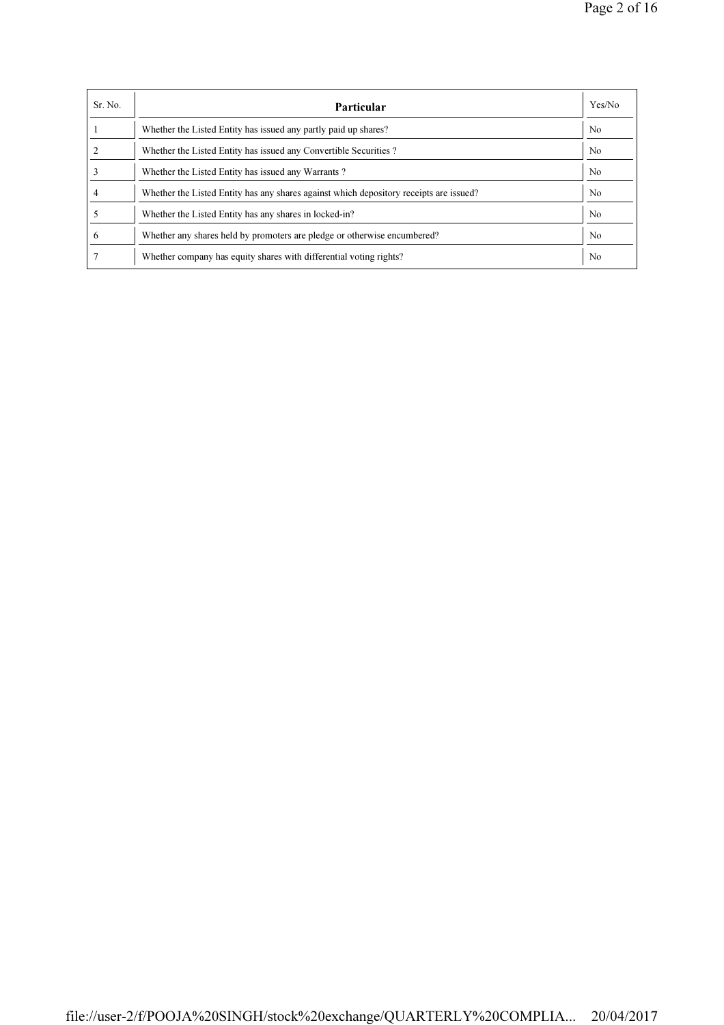| Sr. No. | Particular                                                                             | Yes/No         |
|---------|----------------------------------------------------------------------------------------|----------------|
|         | Whether the Listed Entity has issued any partly paid up shares?                        | N <sub>0</sub> |
|         | Whether the Listed Entity has issued any Convertible Securities?                       | No.            |
|         | Whether the Listed Entity has issued any Warrants?                                     | N <sub>0</sub> |
| 4       | Whether the Listed Entity has any shares against which depository receipts are issued? | N <sub>0</sub> |
|         | Whether the Listed Entity has any shares in locked-in?                                 | N <sub>0</sub> |
| 6       | Whether any shares held by promoters are pledge or otherwise encumbered?               | N <sub>0</sub> |
|         | Whether company has equity shares with differential voting rights?                     | N <sub>0</sub> |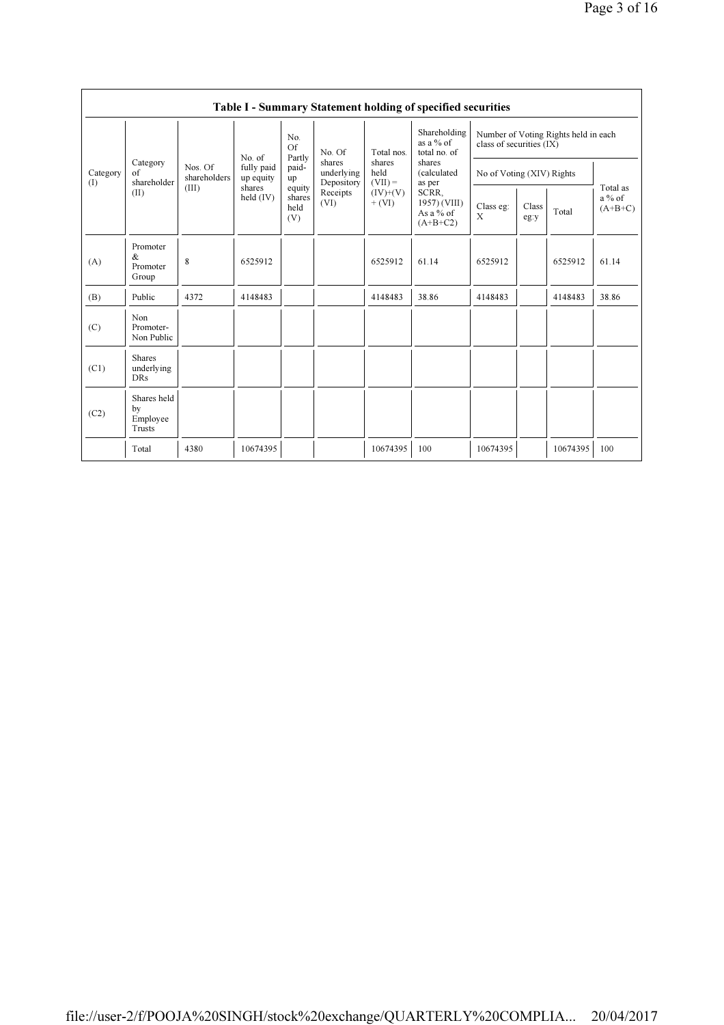|                 |                                           |                         |                                   |                                 |                                    |                        | Table I - Summary Statement holding of specified securities |                                                                  |               |          |                                   |                                 |                           |  |  |  |
|-----------------|-------------------------------------------|-------------------------|-----------------------------------|---------------------------------|------------------------------------|------------------------|-------------------------------------------------------------|------------------------------------------------------------------|---------------|----------|-----------------------------------|---------------------------------|---------------------------|--|--|--|
|                 |                                           |                         |                                   | No.<br>$\Omega$ f<br>Partly     | No. Of                             | Total nos.             | Shareholding<br>as a $%$ of<br>total no. of                 | Number of Voting Rights held in each<br>class of securities (IX) |               |          |                                   |                                 |                           |  |  |  |
| Category<br>(1) | Category<br>$\sigma$ f<br>shareholder     | Nos. Of<br>shareholders | No. of<br>fully paid<br>up equity | paid-<br>up                     | shares<br>underlying<br>Depository |                        |                                                             |                                                                  |               |          | shares<br>held<br>$(VII) =$       | shares<br>(calculated<br>as per | No of Voting (XIV) Rights |  |  |  |
|                 | (II)                                      | (III)                   | shares<br>held $(IV)$             | equity<br>shares<br>held<br>(V) | Receipts<br>(VI)                   | $(IV)+(V)$<br>$+ (VI)$ | SCRR,<br>1957) (VIII)<br>As a $%$ of<br>$(A+B+C2)$          | Class eg:<br>X                                                   | Class<br>eg:y | Total    | Total as<br>$a\%$ of<br>$(A+B+C)$ |                                 |                           |  |  |  |
| (A)             | Promoter<br>&<br>Promoter<br>Group        | $\,$ 8 $\,$             | 6525912                           |                                 |                                    | 6525912                | 61.14                                                       | 6525912                                                          |               | 6525912  | 61.14                             |                                 |                           |  |  |  |
| (B)             | Public                                    | 4372                    | 4148483                           |                                 |                                    | 4148483                | 38.86                                                       | 4148483                                                          |               | 4148483  | 38.86                             |                                 |                           |  |  |  |
| (C)             | Non<br>Promoter-<br>Non Public            |                         |                                   |                                 |                                    |                        |                                                             |                                                                  |               |          |                                   |                                 |                           |  |  |  |
| (C1)            | <b>Shares</b><br>underlying<br><b>DRs</b> |                         |                                   |                                 |                                    |                        |                                                             |                                                                  |               |          |                                   |                                 |                           |  |  |  |
| (C2)            | Shares held<br>by<br>Employee<br>Trusts   |                         |                                   |                                 |                                    |                        |                                                             |                                                                  |               |          |                                   |                                 |                           |  |  |  |
|                 | Total                                     | 4380                    | 10674395                          |                                 |                                    | 10674395               | 100                                                         | 10674395                                                         |               | 10674395 | 100                               |                                 |                           |  |  |  |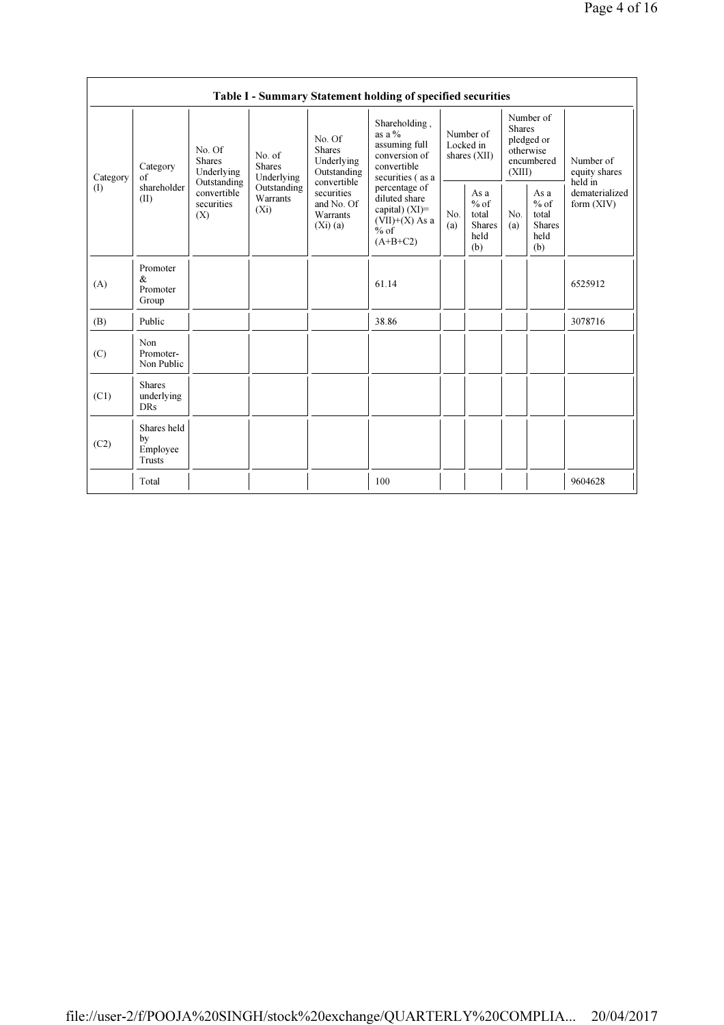|          |                                           |                                                 |                                           |                                                                                                                                                                                                                                                                                                                                           | Table I - Summary Statement holding of specified securities                                     |            |                                                         |            |                                                         |                              |
|----------|-------------------------------------------|-------------------------------------------------|-------------------------------------------|-------------------------------------------------------------------------------------------------------------------------------------------------------------------------------------------------------------------------------------------------------------------------------------------------------------------------------------------|-------------------------------------------------------------------------------------------------|------------|---------------------------------------------------------|------------|---------------------------------------------------------|------------------------------|
| Category | Category<br>$\sigma$ f                    | No. Of<br><b>Shares</b><br>Underlying           | No. of<br><b>Shares</b><br>Underlying     | Number of<br>Shareholding,<br><b>Shares</b><br>as a $%$<br>Number of<br>No. Of<br>pledged or<br>assuming full<br>Locked in<br><b>Shares</b><br>otherwise<br>conversion of<br>shares (XII)<br>Underlying<br>Number of<br>encumbered<br>convertible<br>Outstanding<br>(XIII)<br>equity shares<br>securities (as a<br>convertible<br>held in |                                                                                                 |            |                                                         |            |                                                         |                              |
| (        | shareholder<br>(II)                       | Outstanding<br>convertible<br>securities<br>(X) | Outstanding<br><b>Warrants</b><br>$(X_i)$ | securities<br>and No. Of<br>Warrants<br>(Xi)(a)                                                                                                                                                                                                                                                                                           | percentage of<br>diluted share<br>capital) $(XI)$ =<br>$(VII)+(X)$ As a<br>$%$ of<br>$(A+B+C2)$ | No.<br>(a) | As a<br>$%$ of<br>total<br><b>Shares</b><br>held<br>(b) | No.<br>(a) | As a<br>$%$ of<br>total<br><b>Shares</b><br>held<br>(b) | dematerialized<br>form (XIV) |
| (A)      | Promoter<br>&<br>Promoter<br>Group        |                                                 |                                           |                                                                                                                                                                                                                                                                                                                                           | 61.14                                                                                           |            |                                                         |            |                                                         | 6525912                      |
| (B)      | Public                                    |                                                 |                                           |                                                                                                                                                                                                                                                                                                                                           | 38.86                                                                                           |            |                                                         |            |                                                         | 3078716                      |
| (C)      | Non<br>Promoter-<br>Non Public            |                                                 |                                           |                                                                                                                                                                                                                                                                                                                                           |                                                                                                 |            |                                                         |            |                                                         |                              |
| (C1)     | <b>Shares</b><br>underlying<br><b>DRs</b> |                                                 |                                           |                                                                                                                                                                                                                                                                                                                                           |                                                                                                 |            |                                                         |            |                                                         |                              |
| (C2)     | Shares held<br>by<br>Employee<br>Trusts   |                                                 |                                           |                                                                                                                                                                                                                                                                                                                                           |                                                                                                 |            |                                                         |            |                                                         |                              |
|          | Total                                     |                                                 |                                           |                                                                                                                                                                                                                                                                                                                                           | 100                                                                                             |            |                                                         |            |                                                         | 9604628                      |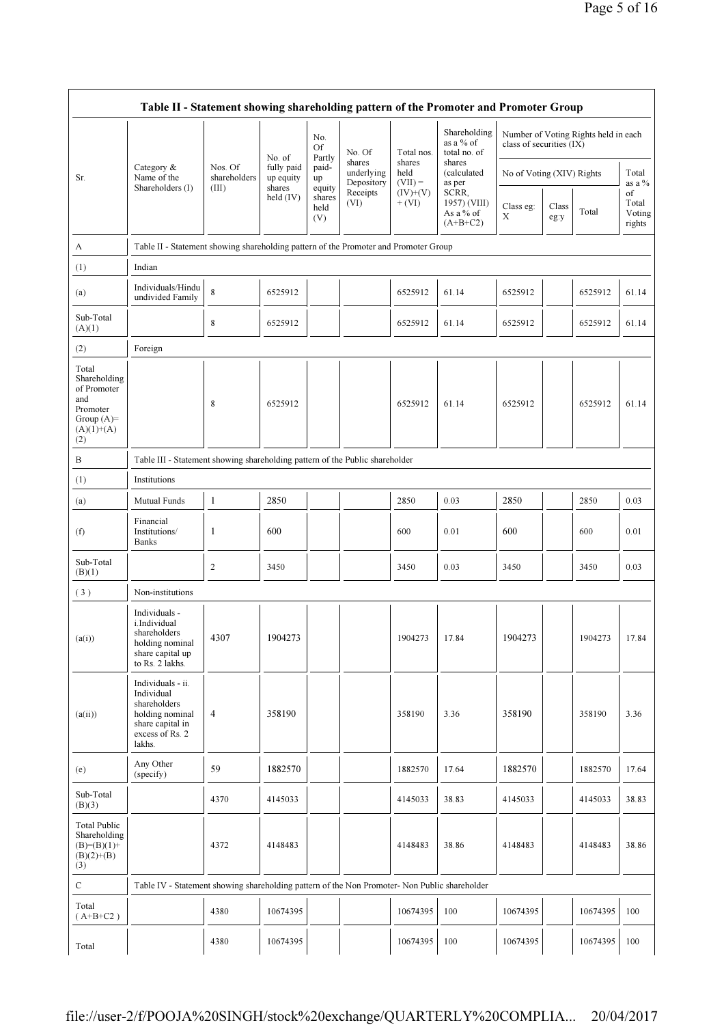|                                                                                                 | Table II - Statement showing shareholding pattern of the Promoter and Promoter Group                                |                         |                         |                                 |                                    |                             |                                                  |                           |               |                                      |                                 |
|-------------------------------------------------------------------------------------------------|---------------------------------------------------------------------------------------------------------------------|-------------------------|-------------------------|---------------------------------|------------------------------------|-----------------------------|--------------------------------------------------|---------------------------|---------------|--------------------------------------|---------------------------------|
|                                                                                                 |                                                                                                                     |                         | No. of                  | No.<br>Οf<br>Partly             | No. Of                             | Total nos.                  | Shareholding<br>as a % of<br>total no. of        | class of securities (IX)  |               | Number of Voting Rights held in each |                                 |
| Sr.                                                                                             | Category &<br>Name of the                                                                                           | Nos. Of<br>shareholders | fully paid<br>up equity | paid-<br>up                     | shares<br>underlying<br>Depository | shares<br>held<br>$(VII) =$ | shares<br>(calculated<br>as per                  | No of Voting (XIV) Rights |               |                                      | Total<br>as a %                 |
|                                                                                                 | Shareholders (I)                                                                                                    | (III)                   | shares<br>held $(IV)$   | equity<br>shares<br>held<br>(V) | Receipts<br>(VI)                   | $(IV)+(V)$<br>$+ (VI)$      | SCRR,<br>1957) (VIII)<br>As a % of<br>$(A+B+C2)$ | Class eg:<br>Χ            | Class<br>eg:y | Total                                | of<br>Total<br>Voting<br>rights |
| A                                                                                               | Table II - Statement showing shareholding pattern of the Promoter and Promoter Group                                |                         |                         |                                 |                                    |                             |                                                  |                           |               |                                      |                                 |
| (1)                                                                                             | Indian                                                                                                              |                         |                         |                                 |                                    |                             |                                                  |                           |               |                                      |                                 |
| (a)                                                                                             | Individuals/Hindu<br>undivided Family                                                                               | 8                       | 6525912                 |                                 |                                    | 6525912                     | 61.14                                            | 6525912                   |               | 6525912                              | 61.14                           |
| Sub-Total<br>(A)(1)                                                                             |                                                                                                                     | 8                       | 6525912                 |                                 |                                    | 6525912                     | 61.14                                            | 6525912                   |               | 6525912                              | 61.14                           |
| (2)                                                                                             | Foreign                                                                                                             |                         |                         |                                 |                                    |                             |                                                  |                           |               |                                      |                                 |
| Total<br>Shareholding<br>of Promoter<br>and<br>Promoter<br>Group $(A)$ =<br>$(A)(1)+(A)$<br>(2) |                                                                                                                     | 8                       | 6525912                 |                                 |                                    | 6525912                     | 61.14                                            | 6525912                   |               | 6525912                              | 61.14                           |
| B                                                                                               | Table III - Statement showing shareholding pattern of the Public shareholder                                        |                         |                         |                                 |                                    |                             |                                                  |                           |               |                                      |                                 |
| (1)                                                                                             | Institutions                                                                                                        |                         |                         |                                 |                                    |                             |                                                  |                           |               |                                      |                                 |
| (a)                                                                                             | Mutual Funds                                                                                                        | 1                       | 2850                    |                                 |                                    | 2850                        | 0.03                                             | 2850                      |               | 2850                                 | 0.03                            |
| (f)                                                                                             | Financial<br>Institutions/<br><b>Banks</b>                                                                          | 1                       | 600                     |                                 |                                    | 600                         | 0.01                                             | 600                       |               | 600                                  | 0.01                            |
| Sub-Total<br>(B)(1)                                                                             |                                                                                                                     | 2                       | 3450                    |                                 |                                    | 3450                        | 0.03                                             | 3450                      |               | 3450                                 | 0.03                            |
| (3)                                                                                             | Non-institutions                                                                                                    |                         |                         |                                 |                                    |                             |                                                  |                           |               |                                      |                                 |
| (a(i))                                                                                          | Individuals -<br>i.Individual<br>shareholders<br>holding nominal<br>share capital up<br>to Rs. 2 lakhs.             | 4307                    | 1904273                 |                                 |                                    | 1904273                     | 17.84                                            | 1904273                   |               | 1904273                              | 17.84                           |
| (a(ii))                                                                                         | Individuals - ii.<br>Individual<br>shareholders<br>holding nominal<br>share capital in<br>excess of Rs. 2<br>lakhs. | $\overline{4}$          | 358190                  |                                 |                                    | 358190                      | 3.36                                             | 358190                    |               | 358190                               | 3.36                            |
| (e)                                                                                             | Any Other<br>(specify)                                                                                              | 59                      | 1882570                 |                                 |                                    | 1882570                     | 17.64                                            | 1882570                   |               | 1882570                              | 17.64                           |
| Sub-Total<br>(B)(3)                                                                             |                                                                                                                     | 4370                    | 4145033                 |                                 |                                    | 4145033                     | 38.83                                            | 4145033                   |               | 4145033                              | 38.83                           |
| <b>Total Public</b><br>Shareholding<br>$(B)=(B)(1)+$<br>$(B)(2)+(B)$<br>(3)                     |                                                                                                                     | 4372                    | 4148483                 |                                 |                                    | 4148483                     | 38.86                                            | 4148483                   |               | 4148483                              | 38.86                           |
| $\mathbf C$                                                                                     | Table IV - Statement showing shareholding pattern of the Non Promoter- Non Public shareholder                       |                         |                         |                                 |                                    |                             |                                                  |                           |               |                                      |                                 |
| Total<br>$(A+B+C2)$                                                                             |                                                                                                                     | 4380                    | 10674395                |                                 |                                    | 10674395                    | 100                                              | 10674395                  |               | 10674395                             | 100                             |
| Total                                                                                           |                                                                                                                     | 4380                    | 10674395                |                                 |                                    | 10674395                    | 100                                              | 10674395                  |               | 10674395                             | 100                             |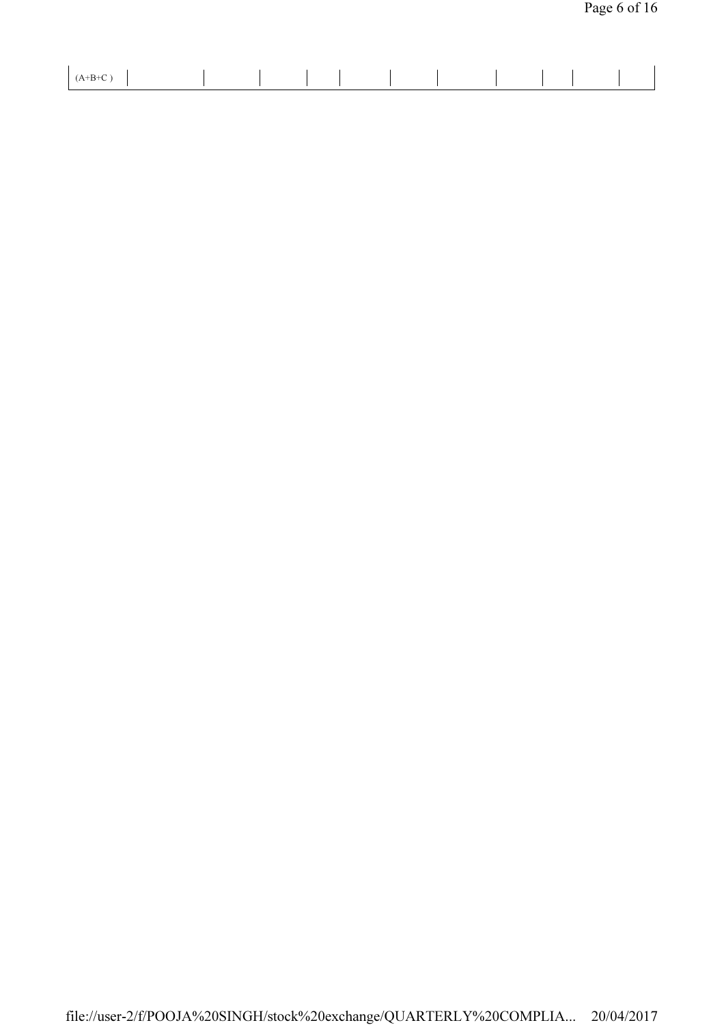| $+B+C$ |  |  |  |  |  |
|--------|--|--|--|--|--|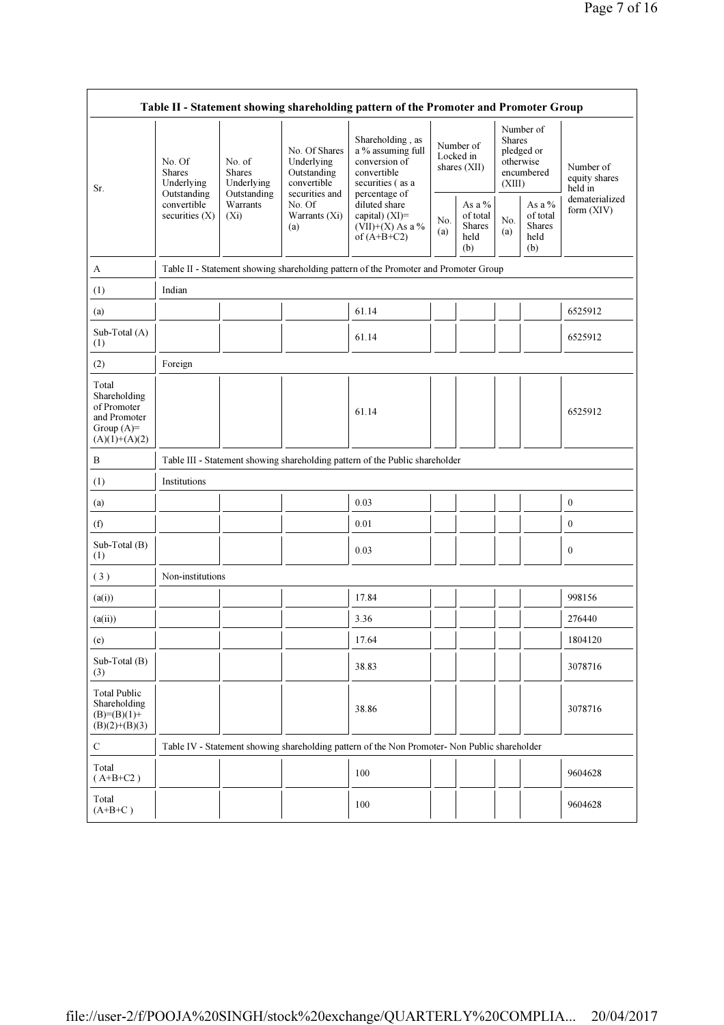|                                                                                         |                                                      |                                                      |                                                                                                               | Table II - Statement showing shareholding pattern of the Promoter and Promoter Group          |            |                                                    |                         |                                                    |                                       |
|-----------------------------------------------------------------------------------------|------------------------------------------------------|------------------------------------------------------|---------------------------------------------------------------------------------------------------------------|-----------------------------------------------------------------------------------------------|------------|----------------------------------------------------|-------------------------|----------------------------------------------------|---------------------------------------|
| Sr.                                                                                     | No. Of<br><b>Shares</b><br>Underlying<br>Outstanding | No. of<br><b>Shares</b><br>Underlying<br>Outstanding | No. Of Shares<br>Underlying<br>Outstanding<br>convertible<br>securities and<br>No. Of<br>Warrants (Xi)<br>(a) | Shareholding, as<br>a % assuming full<br>conversion of<br>convertible<br>securities (as a     |            | Number of<br>Locked in<br>shares (XII)             | <b>Shares</b><br>(XIII) | Number of<br>pledged or<br>otherwise<br>encumbered | Number of<br>equity shares<br>held in |
|                                                                                         | convertible<br>securities $(X)$                      | Warrants<br>$(X_i)$                                  |                                                                                                               | percentage of<br>diluted share<br>capital) $(XI)$ =<br>$(VII)+(X)$ As a %<br>of $(A+B+C2)$    | No.<br>(a) | As a %<br>of total<br><b>Shares</b><br>held<br>(b) | No.<br>(a)              | As a %<br>of total<br><b>Shares</b><br>held<br>(b) | dematerialized<br>form (XIV)          |
| A                                                                                       |                                                      |                                                      |                                                                                                               | Table II - Statement showing shareholding pattern of the Promoter and Promoter Group          |            |                                                    |                         |                                                    |                                       |
| (1)                                                                                     | Indian                                               |                                                      |                                                                                                               |                                                                                               |            |                                                    |                         |                                                    |                                       |
| (a)                                                                                     |                                                      |                                                      |                                                                                                               | 61.14                                                                                         |            |                                                    |                         |                                                    | 6525912                               |
| Sub-Total (A)<br>(1)                                                                    |                                                      |                                                      |                                                                                                               | 61.14                                                                                         |            |                                                    |                         |                                                    | 6525912                               |
| (2)                                                                                     | Foreign                                              |                                                      |                                                                                                               |                                                                                               |            |                                                    |                         |                                                    |                                       |
| Total<br>Shareholding<br>of Promoter<br>and Promoter<br>Group $(A)=$<br>$(A)(1)+(A)(2)$ |                                                      |                                                      |                                                                                                               | 61.14                                                                                         |            |                                                    |                         |                                                    | 6525912                               |
| B                                                                                       |                                                      |                                                      |                                                                                                               | Table III - Statement showing shareholding pattern of the Public shareholder                  |            |                                                    |                         |                                                    |                                       |
| (1)                                                                                     | Institutions                                         |                                                      |                                                                                                               |                                                                                               |            |                                                    |                         |                                                    |                                       |
| (a)                                                                                     |                                                      |                                                      |                                                                                                               | 0.03                                                                                          |            |                                                    |                         |                                                    | $\boldsymbol{0}$                      |
| (f)                                                                                     |                                                      |                                                      |                                                                                                               | 0.01                                                                                          |            |                                                    |                         |                                                    | $\mathbf{0}$                          |
| Sub-Total (B)<br>(1)                                                                    |                                                      |                                                      |                                                                                                               | 0.03                                                                                          |            |                                                    |                         |                                                    | $\boldsymbol{0}$                      |
| (3)                                                                                     | Non-institutions                                     |                                                      |                                                                                                               |                                                                                               |            |                                                    |                         |                                                    |                                       |
| (a(i))                                                                                  |                                                      |                                                      |                                                                                                               | 17.84                                                                                         |            |                                                    |                         |                                                    | 998156                                |
| (a(ii))                                                                                 |                                                      |                                                      |                                                                                                               | 3.36                                                                                          |            |                                                    |                         |                                                    | 276440                                |
| (e)                                                                                     |                                                      |                                                      |                                                                                                               | 17.64                                                                                         |            |                                                    |                         |                                                    | 1804120                               |
| Sub-Total (B)<br>(3)                                                                    |                                                      |                                                      |                                                                                                               | 38.83                                                                                         |            |                                                    |                         |                                                    | 3078716                               |
| <b>Total Public</b><br>Shareholding<br>$(B)= (B)(1) +$<br>$(B)(2)+(B)(3)$               |                                                      |                                                      |                                                                                                               | 38.86                                                                                         |            |                                                    |                         |                                                    | 3078716                               |
| $\mathbf C$                                                                             |                                                      |                                                      |                                                                                                               | Table IV - Statement showing shareholding pattern of the Non Promoter- Non Public shareholder |            |                                                    |                         |                                                    |                                       |
| Total<br>$(A+B+C2)$                                                                     |                                                      |                                                      |                                                                                                               | 100                                                                                           |            |                                                    |                         |                                                    | 9604628                               |
| Total<br>$(A+B+C)$                                                                      |                                                      |                                                      |                                                                                                               | 100                                                                                           |            |                                                    |                         |                                                    | 9604628                               |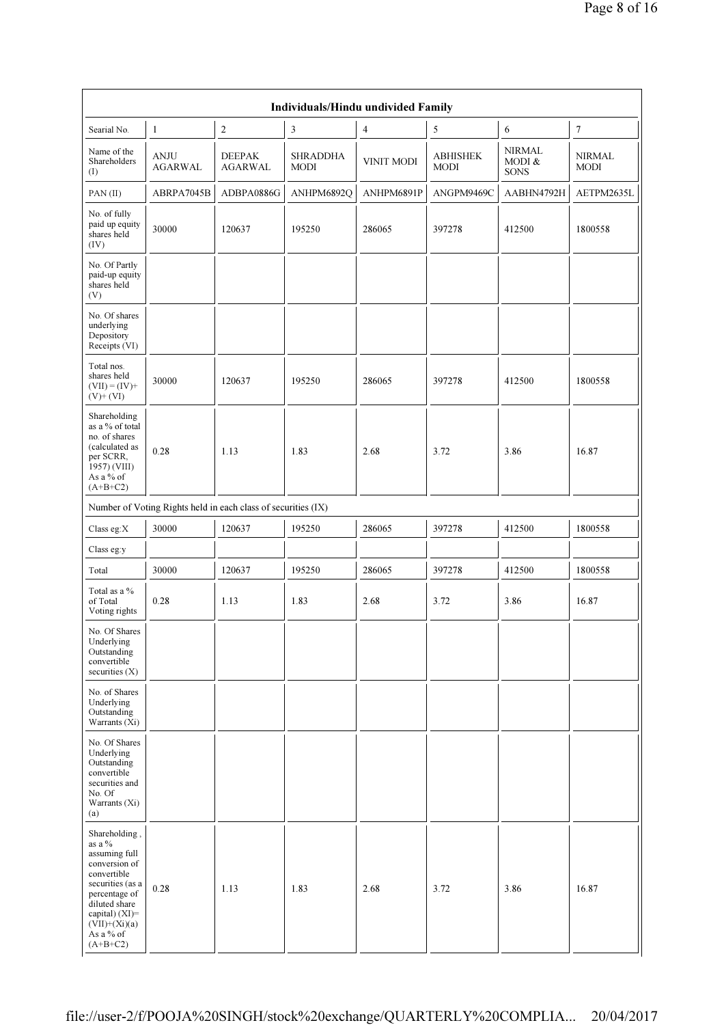|                                                                                                                                                                                                   |                               |                                                               | Individuals/Hindu undivided Family |                   |                                |                                        |                              |
|---------------------------------------------------------------------------------------------------------------------------------------------------------------------------------------------------|-------------------------------|---------------------------------------------------------------|------------------------------------|-------------------|--------------------------------|----------------------------------------|------------------------------|
| Searial No.                                                                                                                                                                                       | $\mathbf{1}$                  | $\overline{2}$                                                | $\overline{3}$                     | $\overline{4}$    | 5                              | 6                                      | $\boldsymbol{7}$             |
| Name of the<br>Shareholders<br>(I)                                                                                                                                                                | <b>ANJU</b><br><b>AGARWAL</b> | <b>DEEPAK</b><br><b>AGARWAL</b>                               | <b>SHRADDHA</b><br><b>MODI</b>     | <b>VINIT MODI</b> | <b>ABHISHEK</b><br><b>MODI</b> | <b>NIRMAL</b><br>MODI &<br><b>SONS</b> | <b>NIRMAL</b><br><b>MODI</b> |
| PAN(II)                                                                                                                                                                                           | ABRPA7045B                    | ADBPA0886G                                                    | ANHPM6892Q                         | ANHPM6891P        | ANGPM9469C                     | AABHN4792H                             | AETPM2635L                   |
| No. of fully<br>paid up equity<br>shares held<br>(IV)                                                                                                                                             | 30000                         | 120637                                                        | 195250                             | 286065            | 397278                         | 412500                                 | 1800558                      |
| No. Of Partly<br>paid-up equity<br>shares held<br>(V)                                                                                                                                             |                               |                                                               |                                    |                   |                                |                                        |                              |
| No. Of shares<br>underlying<br>Depository<br>Receipts (VI)                                                                                                                                        |                               |                                                               |                                    |                   |                                |                                        |                              |
| Total nos.<br>shares held<br>$(VII) = (IV) +$<br>$(V)+(VI)$                                                                                                                                       | 30000                         | 120637                                                        | 195250                             | 286065            | 397278                         | 412500                                 | 1800558                      |
| Shareholding<br>as a % of total<br>no. of shares<br>(calculated as<br>per SCRR,<br>1957) (VIII)<br>As a % of<br>$(A+B+C2)$                                                                        | 0.28                          | 1.13                                                          | 1.83                               | 2.68              | 3.72                           | 3.86                                   | 16.87                        |
|                                                                                                                                                                                                   |                               | Number of Voting Rights held in each class of securities (IX) |                                    |                   |                                |                                        |                              |
| Class eg:X                                                                                                                                                                                        | 30000                         | 120637                                                        | 195250                             | 286065            | 397278                         | 412500                                 | 1800558                      |
| Class eg:y                                                                                                                                                                                        |                               |                                                               |                                    |                   |                                |                                        |                              |
| Total                                                                                                                                                                                             | 30000                         | 120637                                                        | 195250                             | 286065            | 397278                         | 412500                                 | 1800558                      |
| Total as a %<br>of Total<br>Voting rights                                                                                                                                                         | 0.28                          | 1.13                                                          | 1.83                               | 2.68              | 3.72                           | 3.86                                   | 16.87                        |
| No. Of Shares<br>Underlying<br>Outstanding<br>convertible<br>securities $(X)$                                                                                                                     |                               |                                                               |                                    |                   |                                |                                        |                              |
| No. of Shares<br>Underlying<br>Outstanding<br>Warrants (Xi)                                                                                                                                       |                               |                                                               |                                    |                   |                                |                                        |                              |
| No. Of Shares<br>Underlying<br>Outstanding<br>convertible<br>securities and<br>No. Of<br>Warrants (Xi)<br>(a)                                                                                     |                               |                                                               |                                    |                   |                                |                                        |                              |
| Shareholding,<br>as a %<br>assuming full<br>conversion of<br>convertible<br>securities (as a<br>percentage of<br>diluted share<br>capital) $(XI)$ =<br>$(VII)+(Xi)(a)$<br>As a % of<br>$(A+B+C2)$ | 0.28                          | 1.13                                                          | 1.83                               | 2.68              | 3.72                           | 3.86                                   | 16.87                        |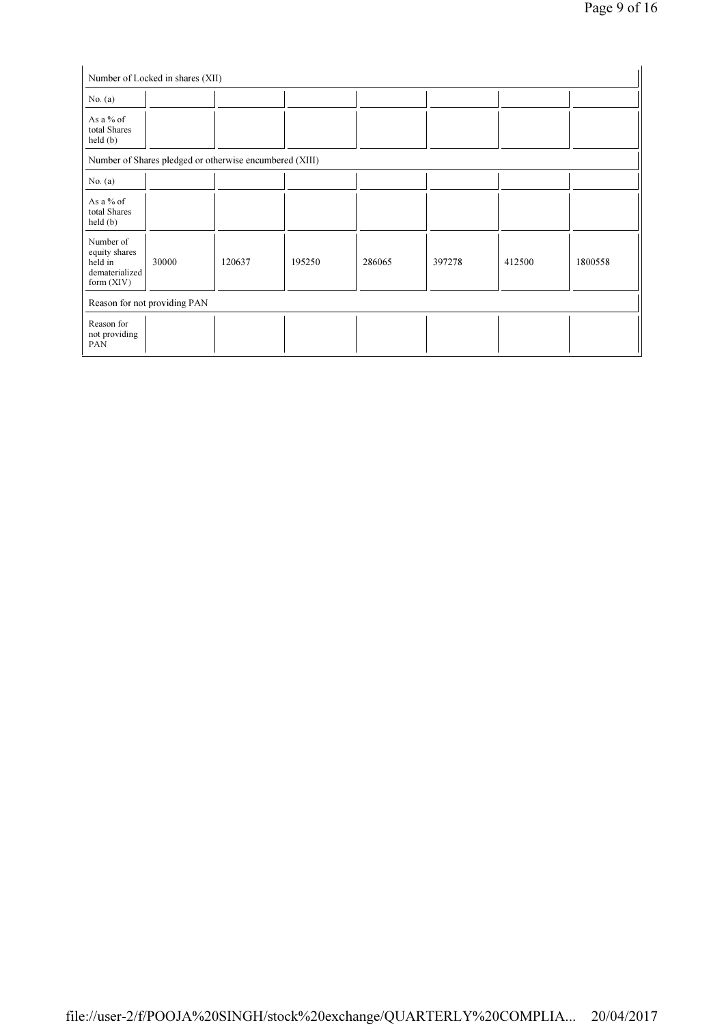| No. $(a)$                                                               |                                                         |        |        |        |        |        |         |
|-------------------------------------------------------------------------|---------------------------------------------------------|--------|--------|--------|--------|--------|---------|
| As a $%$ of<br>total Shares<br>$\text{held}(\text{b})$                  |                                                         |        |        |        |        |        |         |
|                                                                         | Number of Shares pledged or otherwise encumbered (XIII) |        |        |        |        |        |         |
| No. $(a)$                                                               |                                                         |        |        |        |        |        |         |
| As a % of<br>total Shares<br>held(b)                                    |                                                         |        |        |        |        |        |         |
| Number of<br>equity shares<br>held in<br>dematerialized<br>form $(XIV)$ | 30000                                                   | 120637 | 195250 | 286065 | 397278 | 412500 | 1800558 |
|                                                                         | Reason for not providing PAN                            |        |        |        |        |        |         |
| Reason for<br>not providing<br>PAN                                      |                                                         |        |        |        |        |        |         |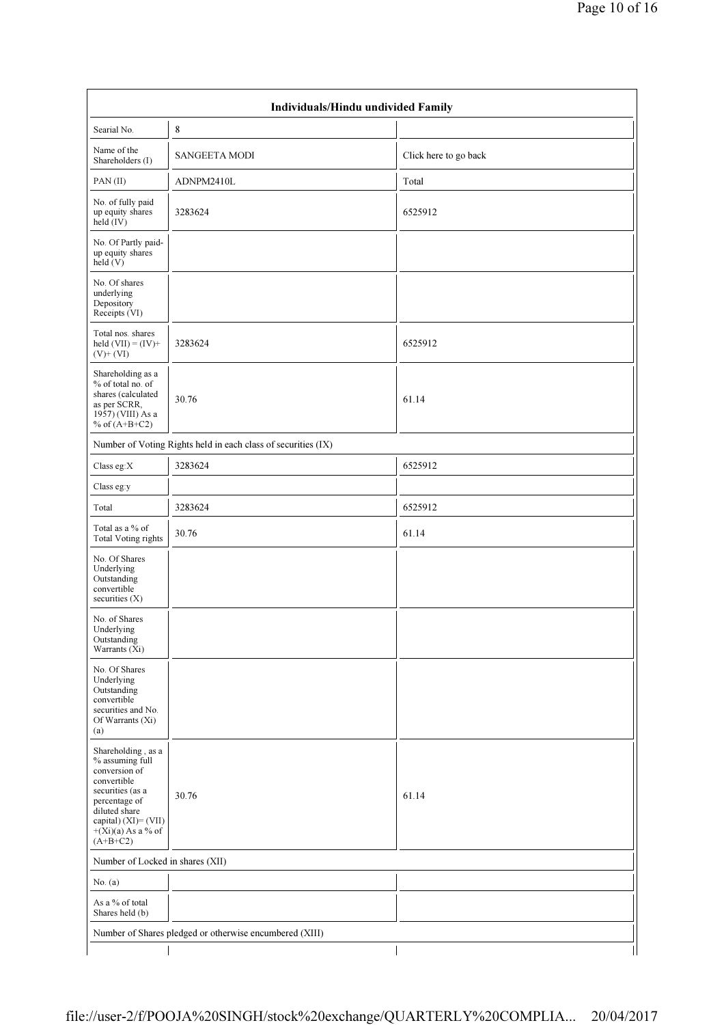|                                                                                                                                                                                           | Individuals/Hindu undivided Family                            |                       |
|-------------------------------------------------------------------------------------------------------------------------------------------------------------------------------------------|---------------------------------------------------------------|-----------------------|
| Searial No.                                                                                                                                                                               | 8                                                             |                       |
| Name of the<br>Shareholders (I)                                                                                                                                                           | <b>SANGEETA MODI</b>                                          | Click here to go back |
| PAN(II)                                                                                                                                                                                   | ADNPM2410L                                                    | Total                 |
| No. of fully paid<br>up equity shares<br>held (IV)                                                                                                                                        | 3283624                                                       | 6525912               |
| No. Of Partly paid-<br>up equity shares<br>$\text{held}(V)$                                                                                                                               |                                                               |                       |
| No. Of shares<br>underlying<br>Depository<br>Receipts (VI)                                                                                                                                |                                                               |                       |
| Total nos. shares<br>held $(VII) = (IV) +$<br>$(V)+(VI)$                                                                                                                                  | 3283624                                                       | 6525912               |
| Shareholding as a<br>% of total no. of<br>shares (calculated<br>as per SCRR,<br>1957) (VIII) As a<br>% of $(A+B+C2)$                                                                      | 30.76                                                         | 61.14                 |
|                                                                                                                                                                                           | Number of Voting Rights held in each class of securities (IX) |                       |
| Class eg:X                                                                                                                                                                                | 3283624                                                       | 6525912               |
| Class eg:y                                                                                                                                                                                |                                                               |                       |
| Total                                                                                                                                                                                     | 3283624                                                       | 6525912               |
| Total as a % of<br><b>Total Voting rights</b>                                                                                                                                             | 30.76                                                         | 61.14                 |
| No. Of Shares<br>Underlying<br>Outstanding<br>convertible<br>securities $(X)$                                                                                                             |                                                               |                       |
| No. of Shares<br>Underlying<br>Outstanding<br>Warrants (Xi)                                                                                                                               |                                                               |                       |
| No. Of Shares<br>Underlying<br>Outstanding<br>convertible<br>securities and No.<br>Of Warrants (Xi)<br>(a)                                                                                |                                                               |                       |
| Shareholding, as a<br>% assuming full<br>conversion of<br>convertible<br>securities (as a<br>percentage of<br>diluted share<br>capital) (XI)= (VII)<br>$+(Xi)(a)$ As a % of<br>$(A+B+C2)$ | 30.76                                                         | 61.14                 |
| Number of Locked in shares (XII)                                                                                                                                                          |                                                               |                       |
| No. $(a)$                                                                                                                                                                                 |                                                               |                       |
| As a % of total<br>Shares held (b)                                                                                                                                                        |                                                               |                       |
|                                                                                                                                                                                           | Number of Shares pledged or otherwise encumbered (XIII)       |                       |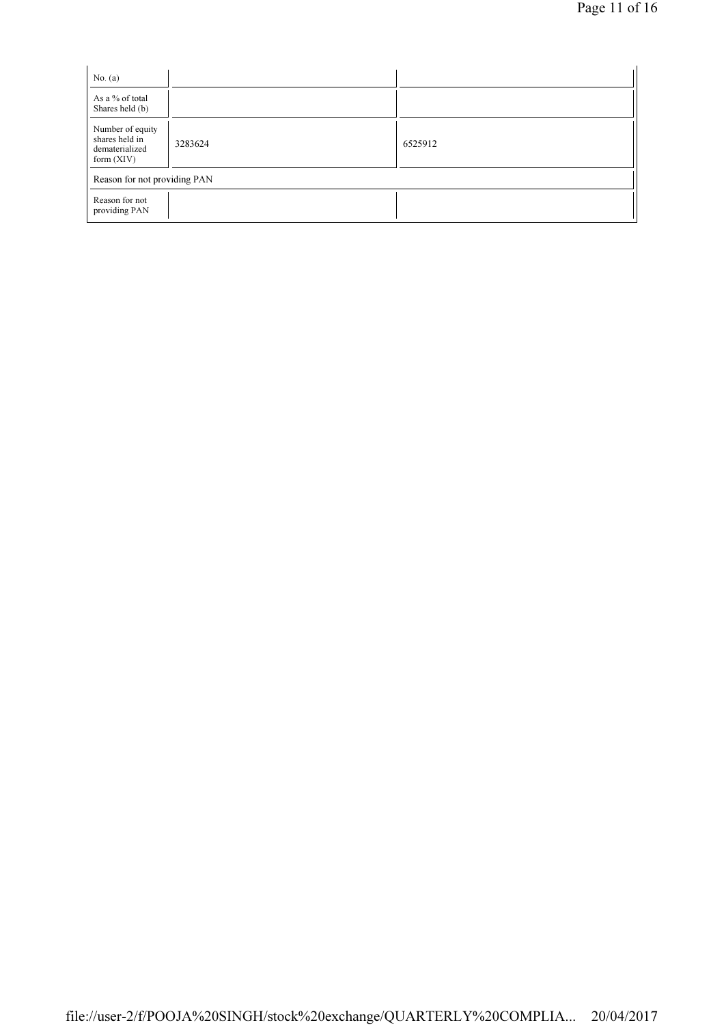| No. $(a)$                                                            |         |         |
|----------------------------------------------------------------------|---------|---------|
| As a % of total<br>Shares held (b)                                   |         |         |
| Number of equity<br>shares held in<br>dematerialized<br>form $(XIV)$ | 3283624 | 6525912 |
| Reason for not providing PAN                                         |         |         |
| Reason for not<br>providing PAN                                      |         |         |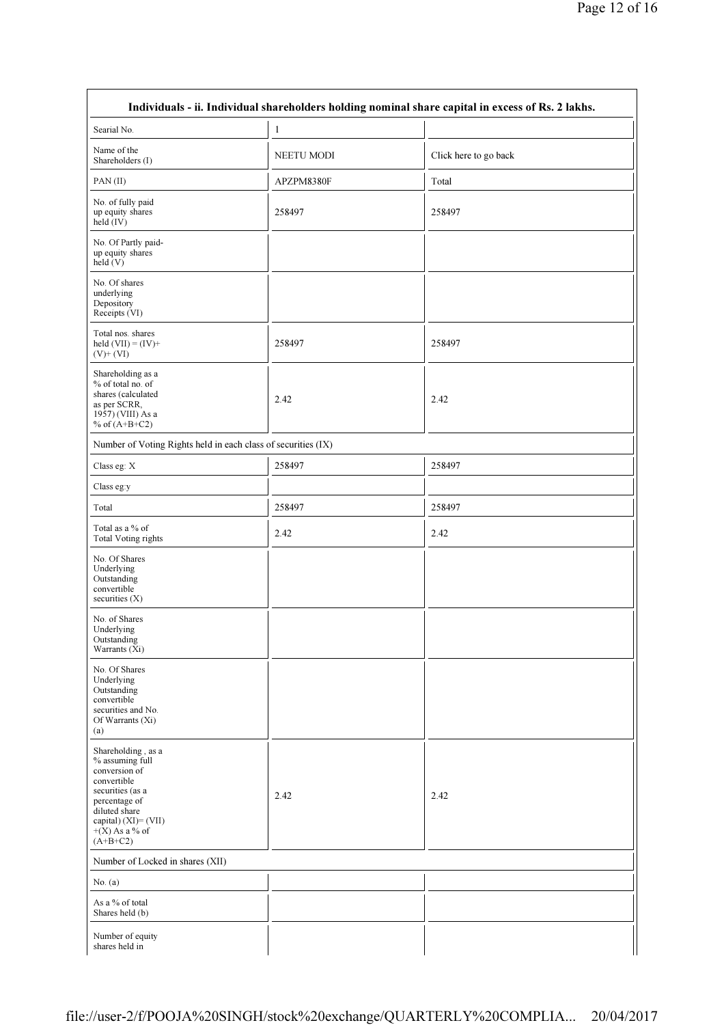| Searial No.                                                                                                                                                                           | $\mathbf{1}$      |                       |
|---------------------------------------------------------------------------------------------------------------------------------------------------------------------------------------|-------------------|-----------------------|
| Name of the<br>Shareholders (I)                                                                                                                                                       | <b>NEETU MODI</b> | Click here to go back |
| PAN(II)                                                                                                                                                                               | APZPM8380F        | Total                 |
| No. of fully paid<br>up equity shares<br>held (IV)                                                                                                                                    | 258497            | 258497                |
| No. Of Partly paid-<br>up equity shares<br>$\text{held}(V)$                                                                                                                           |                   |                       |
| No. Of shares<br>underlying<br>Depository<br>Receipts (VI)                                                                                                                            |                   |                       |
| Total nos. shares<br>held $(VII) = (IV) +$<br>$(V)+(VI)$                                                                                                                              | 258497            | 258497                |
| Shareholding as a<br>% of total no. of<br>shares (calculated<br>as per SCRR,<br>1957) (VIII) As a<br>% of $(A+B+C2)$                                                                  | 2.42              | 2.42                  |
| Number of Voting Rights held in each class of securities (IX)                                                                                                                         |                   |                       |
| Class eg: X                                                                                                                                                                           | 258497            | 258497                |
| Class eg:y                                                                                                                                                                            |                   |                       |
| Total                                                                                                                                                                                 | 258497            | 258497                |
| Total as a % of<br><b>Total Voting rights</b>                                                                                                                                         | 2.42              | 2.42                  |
| No. Of Shares<br>Underlying<br>Outstanding<br>convertible<br>securities (X)                                                                                                           |                   |                       |
| No. of Shares<br>Underlying<br>Outstanding<br>Warrants (Xi)                                                                                                                           |                   |                       |
| No. Of Shares<br>Underlying<br>Outstanding<br>convertible<br>securities and No.<br>Of Warrants (Xi)<br>(a)                                                                            |                   |                       |
| Shareholding, as a<br>% assuming full<br>conversion of<br>convertible<br>securities (as a<br>percentage of<br>diluted share<br>capital) (XI)= (VII)<br>$+(X)$ As a % of<br>$(A+B+C2)$ | 2.42              | 2.42                  |
| Number of Locked in shares (XII)                                                                                                                                                      |                   |                       |
| No. $(a)$                                                                                                                                                                             |                   |                       |
| As a % of total                                                                                                                                                                       |                   |                       |

 $\mathbf{r}$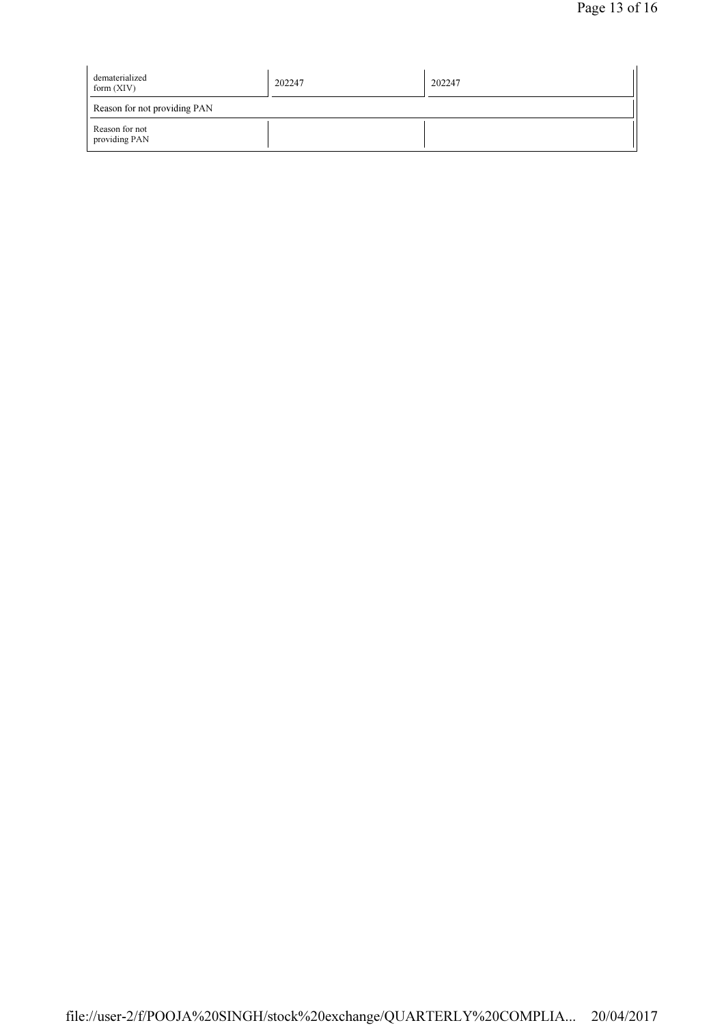| dematerialized<br>form $(XIV)$  | 202247 | 202247 |  |  |
|---------------------------------|--------|--------|--|--|
| Reason for not providing PAN    |        |        |  |  |
| Reason for not<br>providing PAN |        |        |  |  |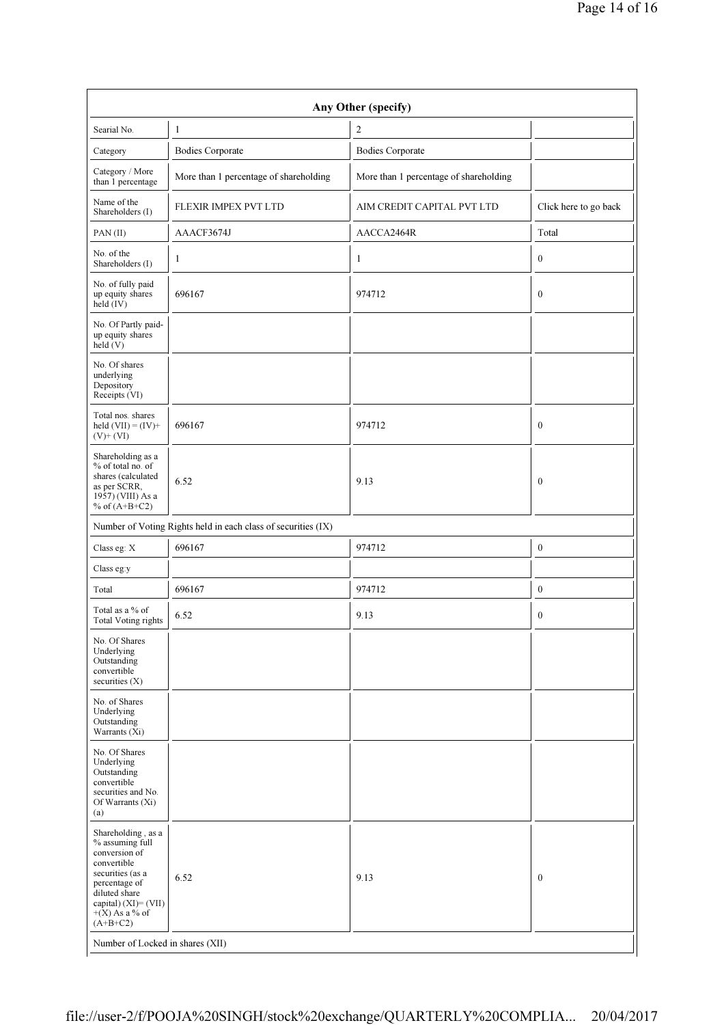| Any Other (specify)                                                                                                                                                                                                       |                                                               |                                        |                       |  |  |
|---------------------------------------------------------------------------------------------------------------------------------------------------------------------------------------------------------------------------|---------------------------------------------------------------|----------------------------------------|-----------------------|--|--|
| Searial No.                                                                                                                                                                                                               | 1                                                             | $\overline{c}$                         |                       |  |  |
| Category                                                                                                                                                                                                                  | <b>Bodies Corporate</b>                                       | <b>Bodies Corporate</b>                |                       |  |  |
| Category / More<br>than 1 percentage                                                                                                                                                                                      | More than 1 percentage of shareholding                        | More than 1 percentage of shareholding |                       |  |  |
| Name of the<br>Shareholders (I)                                                                                                                                                                                           | FLEXIR IMPEX PVT LTD                                          | AIM CREDIT CAPITAL PVT LTD             | Click here to go back |  |  |
| PAN(II)                                                                                                                                                                                                                   | AAACF3674J                                                    | AACCA2464R                             | Total                 |  |  |
| No. of the<br>Shareholders (I)                                                                                                                                                                                            | $\mathbf{1}$                                                  | $\mathbf{1}$                           | $\mathbf{0}$          |  |  |
| No. of fully paid<br>up equity shares<br>held (IV)                                                                                                                                                                        | 696167                                                        | 974712                                 | $\boldsymbol{0}$      |  |  |
| No. Of Partly paid-<br>up equity shares<br>held(V)                                                                                                                                                                        |                                                               |                                        |                       |  |  |
| No. Of shares<br>underlying<br>Depository<br>Receipts (VI)                                                                                                                                                                |                                                               |                                        |                       |  |  |
| Total nos. shares<br>held $(VII) = (IV) +$<br>$(V)+(VI)$                                                                                                                                                                  | 696167                                                        | 974712                                 | $\mathbf{0}$          |  |  |
| Shareholding as a<br>% of total no. of<br>shares (calculated<br>as per SCRR,<br>1957) (VIII) As a<br>% of $(A+B+C2)$                                                                                                      | 6.52                                                          | 9.13                                   | $\overline{0}$        |  |  |
|                                                                                                                                                                                                                           | Number of Voting Rights held in each class of securities (IX) |                                        |                       |  |  |
| Class eg: X                                                                                                                                                                                                               | 696167                                                        | 974712                                 | $\boldsymbol{0}$      |  |  |
| Class eg:y                                                                                                                                                                                                                |                                                               |                                        |                       |  |  |
| Total                                                                                                                                                                                                                     | 696167                                                        | 974712                                 | $\boldsymbol{0}$      |  |  |
| Total as a % of<br><b>Total Voting rights</b>                                                                                                                                                                             | 6.52                                                          | 9.13                                   | $\mathbf{0}$          |  |  |
| No. Of Shares<br>Underlying<br>Outstanding<br>convertible<br>securities $(X)$                                                                                                                                             |                                                               |                                        |                       |  |  |
| No. of Shares<br>Underlying<br>Outstanding<br>Warrants (Xi)                                                                                                                                                               |                                                               |                                        |                       |  |  |
| No. Of Shares<br>Underlying<br>Outstanding<br>convertible<br>securities and No.<br>Of Warrants (Xi)<br>(a)                                                                                                                |                                                               |                                        |                       |  |  |
| Shareholding, as a<br>% assuming full<br>conversion of<br>convertible<br>securities (as a<br>percentage of<br>diluted share<br>capital) (XI)= (VII)<br>$+(X)$ As a % of<br>$(A+B+C2)$<br>Number of Locked in shares (XII) | 6.52                                                          | 9.13                                   | $\mathbf{0}$          |  |  |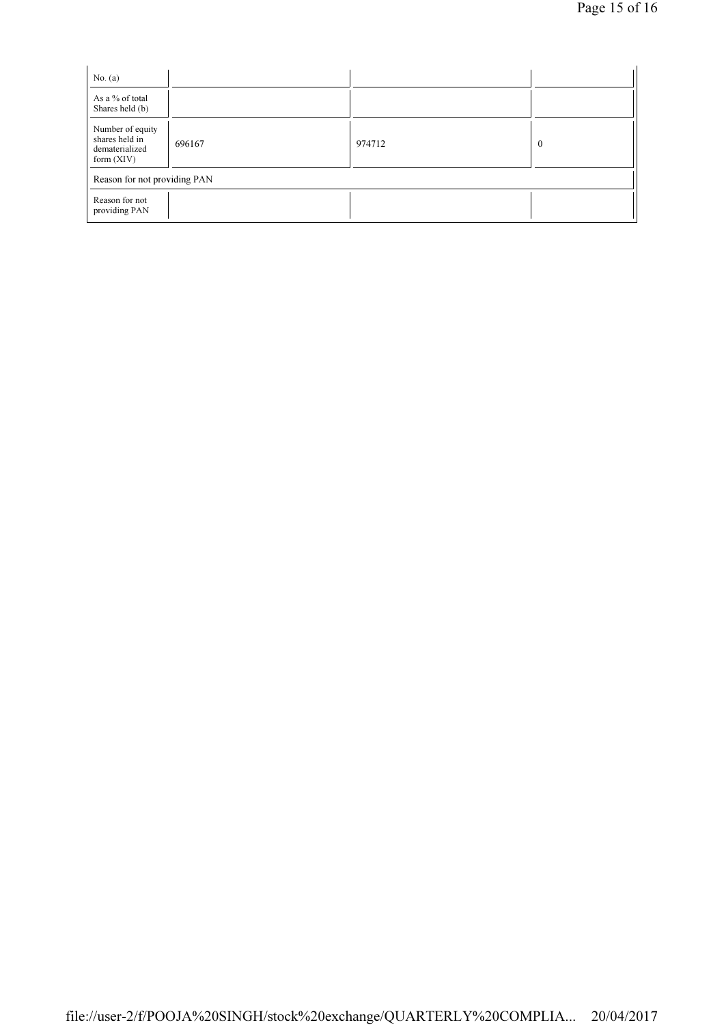| No. $(a)$                                                            |        |        |          |
|----------------------------------------------------------------------|--------|--------|----------|
| As a % of total<br>Shares held (b)                                   |        |        |          |
| Number of equity<br>shares held in<br>dematerialized<br>form $(XIV)$ | 696167 | 974712 | $\theta$ |
| Reason for not providing PAN                                         |        |        |          |
| Reason for not<br>providing PAN                                      |        |        |          |